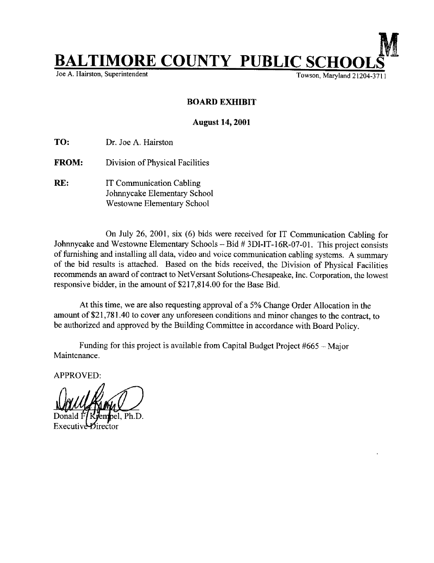

BOARD EXHIBIT

## August 14, 2001

TO: Dr. Joe A. Hairston

- FROM: Division of Physical Facilities
- RE: IT Communication Cabling Johnnycake Elementary School Westowne Elementary School

On July 26, 2001, six (6) bids were received for IT Communication Cabling for Johnnycake and Westowne Elementary Schools - Bid # 3DI-IT-16R-07-01. This project consists of furnishing and installing all data, video and voice communication cabling systems. A summary of the bid results is attached. Based on the bids received, the Division of Physical Facilities recommends an award of contract to NetVersant Solutions-Chesapeake, Inc. Corporation, the lowest responsive bidder, in the amount of \$217,814.00 for the Base Bid.

At this time, we are also requesting approval of <sup>a</sup> 5% Change Order Allocation in the amount of \$21,781 .40 to cover any unforeseen conditions and minor changes to the contract, to be authorized and approved by the Building Committee in accordance with Board Policy.

Funding for this project is available from Capital Budget Project  $#665 -$  Major Maintenance .

APPROVED:

Ph.D.